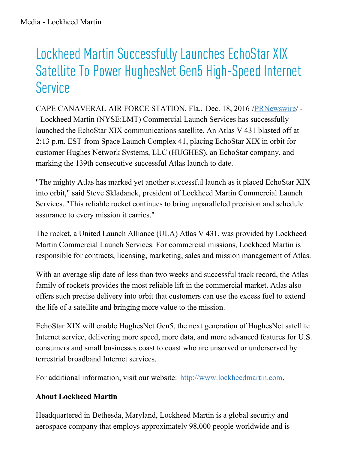## Lockheed Martin Successfully Launches EchoStar XIX Satellite To Power HughesNet Gen5 High-Speed Internet **Service**

CAPE CANAVERAL AIR FORCE STATION, Fla., Dec. 18, 2016 /[PRNewswire/](http://www.prnewswire.com/) - - Lockheed Martin (NYSE:LMT) Commercial Launch Services has successfully launched the EchoStar XIX communications satellite. An Atlas V 431 blasted off at 2:13 p.m. EST from Space Launch Complex 41, placing EchoStar XIX in orbit for customer Hughes Network Systems, LLC (HUGHES), an EchoStar company, and marking the 139th consecutive successful Atlas launch to date.

"The mighty Atlas has marked yet another successful launch as it placed EchoStar XIX into orbit," said Steve Skladanek, president of Lockheed Martin Commercial Launch Services. "This reliable rocket continues to bring unparalleled precision and schedule assurance to every mission it carries."

The rocket, a United Launch Alliance (ULA) Atlas V 431, was provided by Lockheed Martin Commercial Launch Services. For commercial missions, Lockheed Martin is responsible for contracts, licensing, marketing, sales and mission management of Atlas.

With an average slip date of less than two weeks and successful track record, the Atlas family of rockets provides the most reliable lift in the commercial market. Atlas also offers such precise delivery into orbit that customers can use the excess fuel to extend the life of a satellite and bringing more value to the mission.

EchoStar XIX will enable HughesNet Gen5, the next generation of HughesNet satellite Internet service, delivering more speed, more data, and more advanced features for U.S. consumers and small businesses coast to coast who are unserved or underserved by terrestrial broadband Internet services.

For additional information, visit our website: [http://www.lockheedmartin.com](http://www.lockheedmartin.com/).

## **About Lockheed Martin**

Headquartered in Bethesda, Maryland, Lockheed Martin is a global security and aerospace company that employs approximately 98,000 people worldwide and is